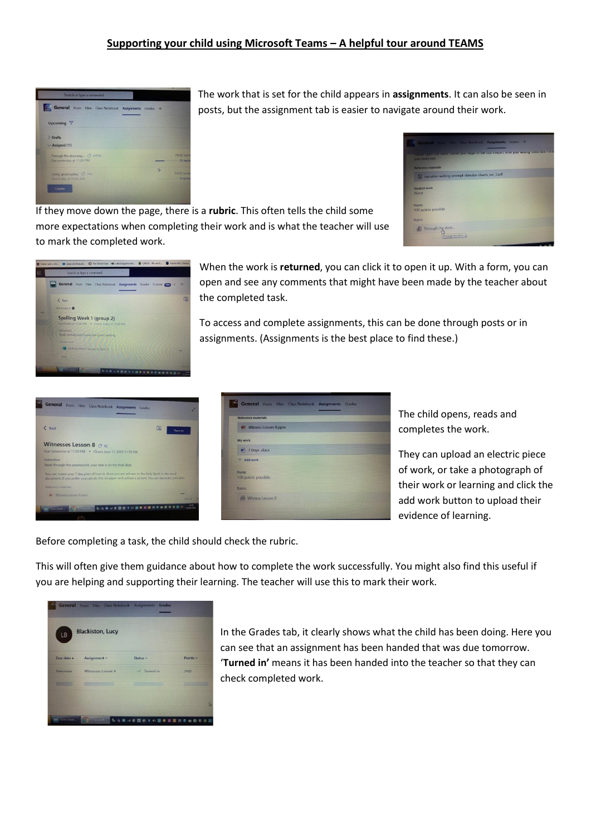## **Supporting your child using Microsoft Teams – A helpful tour around TEAMS**

| General Posts Files Class Notebook Assignments Grades + |   |             |
|---------------------------------------------------------|---|-------------|
| Upcoming Y                                              |   |             |
| > Drafts                                                |   |             |
| $\vee$ Assigned (10)                                    |   |             |
| Through the doorway O writing                           |   | 19/32 turn  |
| Due yesterday at 11:00 PM                               |   | 13 review   |
| Using apostrophes C SPaG                                | b | 14/29 turns |
| Due today at 11:00 AM                                   |   | 0 movie     |

The work that is set for the child appears in **assignments**. It can also be seen in posts, but the assignment tab is easier to navigate around their work.



If they move down the page, there is a **rubric**. This often tells the child some more expectations when completing their work and is what the teacher will use to mark the completed work.



When the work is **returned**, you can click it to open it up. With a form, you can open and see any comments that might have been made by the teacher about the completed task.

To access and complete assignments, this can be done through posts or in assignments. (Assignments is the best place to find these.)





The child opens, reads and completes the work.

They can upload an electric piece of work, or take a photograph of their work or learning and click the add work button to upload their evidence of learning.

Before completing a task, the child should check the rubric.

This will often give them guidance about how to complete the work successfully. You might also find this useful if you are helping and supporting their learning. The teacher will use this to mark their work.



In the Grades tab, it clearly shows what the child has been doing. Here you can see that an assignment has been handed that was due tomorrow. '**Turned in'** means it has been handed into the teacher so that they can check completed work.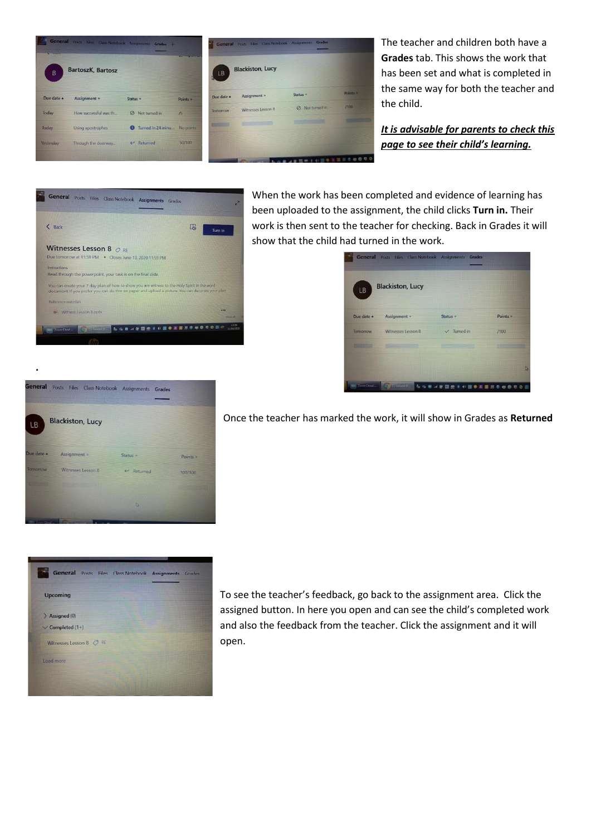

The teacher and children both have a **Grades** tab. This shows the work that has been set and what is completed in the same way for both the teacher and the child.

*It is advisable for parents to check this page to see their child's learning.*

| You can create your 7 day plan of how to show you are witness to the Holy Spirit in the word<br>document. If you prefer you can do this on paper and upload a picture. You can decorate your plan. |
|----------------------------------------------------------------------------------------------------------------------------------------------------------------------------------------------------|

When the work has been completed and evidence of learning has been uploaded to the assignment, the child clicks **Turn in.** Their work is then sent to the teacher for checking. Back in Grades it will show that the child had turned in the work.

|                  | <b>Blackiston, Lucy</b> |                     |          |
|------------------|-------------------------|---------------------|----------|
| LB<br>Due date A | Assignment =            | Status <sub>v</sub> | Points v |
| Tomorrow         | Witnesses Lesson 8      | $V$ Turned in       | /100     |
|                  |                         |                     |          |
|                  |                         |                     |          |



**.**

Once the teacher has marked the work, it will show in Grades as **Returned**

![](_page_1_Picture_8.jpeg)

To see the teacher's feedback, go back to the assignment area. Click the assigned button. In here you open and can see the child's completed work and also the feedback from the teacher. Click the assignment and it will open.